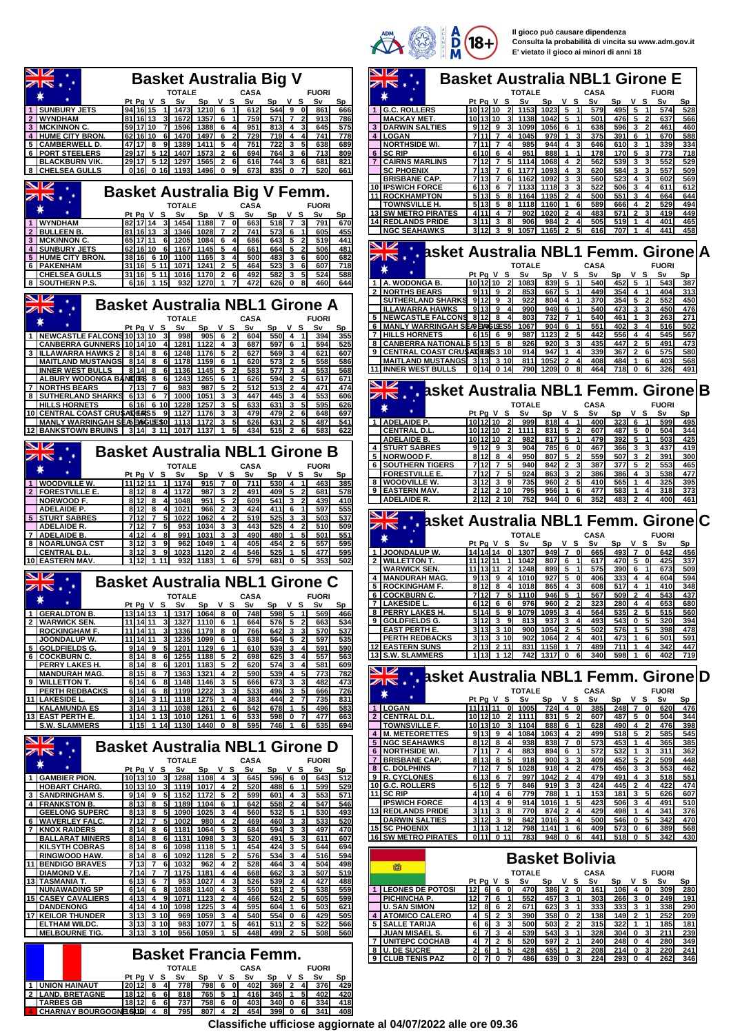

**Il gioco può causare dipendenza Consulta la probabilità di vincita su www.adm.gov.it E' vietato il gioco ai minori di anni 18**

| NZ                                                                                       |                                                                                                                                                                                                                          |                                                                                                                                                                                                                                                              |
|------------------------------------------------------------------------------------------|--------------------------------------------------------------------------------------------------------------------------------------------------------------------------------------------------------------------------|--------------------------------------------------------------------------------------------------------------------------------------------------------------------------------------------------------------------------------------------------------------|
| $\overline{\mathbb{Z}}$                                                                  | <b>Basket Australia Big V</b>                                                                                                                                                                                            | <b>Basket Australia NBL1 Girone E</b>                                                                                                                                                                                                                        |
|                                                                                          | TOTALE<br><b>CASA</b><br><b>FUORI</b>                                                                                                                                                                                    | <b>TOTALE</b><br>CASA<br><b>FUORI</b>                                                                                                                                                                                                                        |
| 1 SUNBURY JETS                                                                           | Sp V S<br>Pt Pg V S Sv<br>Sv<br>Sp V S Sv<br>Sp<br>94 16 15 1 1473 1210 6<br>612<br>$544$ 9 0<br>666<br>861                                                                                                              | Pt Pq V S Sv<br>Sp V S<br>Sp V S Sv<br>Sv<br>Sp<br>10 12 10 2 1153 1023 5<br>495 5<br>574<br>528<br>1 G.C. ROLLERS<br>579                                                                                                                                    |
| 2 WYNDHAM<br>3 MCKINNON C.                                                               | 81 16 13<br>$1357$ 6<br>571 7<br>3 1672<br>759<br>913<br>786<br>59 17 10<br>7 1596<br>$1388$ 6 4<br>951<br>813<br>645<br>575<br>4<br>-31                                                                                 | 501<br>476I<br>5<br><b>MACKAY MET.</b><br>101310 31 1138<br>1042I<br>5<br>637<br>566<br>9 12 9<br>3 1099<br>1056<br>638<br>596<br>461<br>6<br>3                                                                                                              |
| <b>4 HUME CITY BRON</b>                                                                  | 62 16 10 6 1470<br>1497 6<br><u>729</u><br>719 <b>I</b><br>$\overline{a}$<br>$\overline{4}$<br>741<br>778                                                                                                                | <b>3   DARWIN SALTIES</b><br>460<br>4 LOGAN<br>7 11 7 4 1045<br>979<br>375<br>391<br>$\mathbf{1}$<br>6<br>670<br>588                                                                                                                                         |
| 5 CAMBERWELL D.<br><b>6   PORT STEELERS</b>                                              | 751<br>722<br>638<br>47 17 8 9 1389<br>1411 <b>1</b><br>5<br>3<br>5<br>689<br>4<br>29 17 5 12 1407<br>1573<br>694<br>764<br>3<br>713<br>809<br>$\overline{2}$<br>6l<br>-61                                               | 7111 7<br>985<br>944<br>646<br>339<br>334<br><b>NORTHSIDE WI.</b><br>4<br>610I<br>3<br>41<br>31<br>951<br>6 SC RIP<br>6106<br>888<br>178<br><b>170</b><br>5<br>773<br>718<br>4<br>-1                                                                         |
| <b>BLACKBURN VIK</b>                                                                     | 821<br>29 17 5 12 1297<br>1565<br>$\overline{2}$<br>616<br>744<br>3<br>681<br>61                                                                                                                                         | 539<br>552<br>529<br><b>7 CAIRNS MARLINS</b><br>7112<br>$\overline{7}$<br>51<br>1114<br>1068<br>4<br>562<br>3<br>713 7 6 1177                                                                                                                                |
| 8 CHELSEA GULLS                                                                          | 0 16 0 16 1193 1496 0<br>673<br>$835$ 0<br>520<br>91<br>661                                                                                                                                                              | <b>SC PHOENIX</b><br>620<br>584<br>557<br>509<br>1093<br>$\overline{4}$<br>3<br>1092<br>523<br><b>BRISBANE CAP.</b><br>7113<br>$\mathbf{7}$<br>-61<br>1162<br>3<br>560<br>4<br>602<br>569                                                                    |
| <u>NZ</u><br>$\mathbb{Z} \mathbb{N}$ ,                                                   | <b>Basket Australia Big V Femm.</b>                                                                                                                                                                                      | 10 IPSWICH FORCE<br>7 1133<br>1118<br>522<br>6 13<br>$6\overline{6}$<br>3<br>506<br>3<br>611<br>612<br>4<br>5 13 5 8 1164<br>551<br>11 ROCKHAMPTON<br>1195<br>$\overline{2}$<br>500<br>3<br>664<br>644<br>41<br>4                                            |
|                                                                                          | <b>TOTALE</b><br><b>CASA</b><br><b>FUORI</b>                                                                                                                                                                             | <b>TOWNSVILLE H.</b><br>5113<br>5<br>8 1118<br>1160<br>589<br>666<br>529<br>494<br>-1<br>61<br>4                                                                                                                                                             |
| 1 WYNDHAM                                                                                | Pt Pg V S Sv<br>$Sp$ $V$ $S$<br>Sv<br>Sp V S<br>Sv<br>Sp<br>82 17 14 3 1454 1188 7 0<br>663<br>$518$ 7 3<br>791<br>670                                                                                                   | <b>SW METRO PIRATES</b><br>4<br>902<br>1020<br>$\overline{\mathbf{2}}$<br>483<br>571<br>$\mathbf{2}$<br>419<br>449<br>4111<br>505<br>401<br>14 REDLANDS PRIDE<br>$3 11 $ 3 8<br>906<br>984<br>$\overline{2}$<br><b>519</b><br>465<br>$\mathbf{1}$<br>4<br>41 |
| 2 BULLEEN B.<br><b>3   MCKINNON C</b>                                                    | 81 16 13 3 1346 1028<br>$\overline{7}$<br>741<br>573 6<br>605<br>455<br>11<br>441<br>65 17 11 6 1205<br>1084 I 6<br>686<br>643 5 2<br>519<br>4                                                                           | 9 1057<br>1165<br>707<br><b>INGC SEAHAWKS</b><br>3112<br>3<br>$\overline{2}$<br>5<br>616<br>441<br>458                                                                                                                                                       |
| 4 SUNBURY JETS                                                                           | 62 16 10 6 1167<br>1145<br>661<br>664<br>5<br>506<br>481<br>5                                                                                                                                                            | asket Australia NBL1 Femm. Girone A                                                                                                                                                                                                                          |
| <b>5 HUME CITY BRON</b><br>6 PAKENHAM                                                    | 682<br>38 16 6 10 1100<br>1165<br>500<br>483<br>3<br>600<br>3<br>523<br>607<br>31 16 5 11 1071 1241 2<br>464<br>36<br>718                                                                                                | <b>TOTALE</b><br><b>CASA</b><br><b>FUORI</b>                                                                                                                                                                                                                 |
| <b>CHELSEA GULLS</b>                                                                     | 492<br>31 16 5 11 1016<br>1170I<br>$\overline{2}$<br>582<br>3<br>524<br>588<br>6l                                                                                                                                        | Pt Pa V S<br>Sv<br>Sp V S<br>Sv<br>Sp V S<br>Sv<br><b>Sp</b>                                                                                                                                                                                                 |
| 8 SOUTHERN P.S.                                                                          | 6 16 1 15<br>932<br>1270<br>472<br>$626$ 0<br>644<br>8<br>460                                                                                                                                                            | 10 12 10 2 1083<br>$839$ 5<br>452 5<br>1 A. WODONGA B.<br>540<br>-11<br>543<br>387<br>911192<br>667 5<br>$354 \quad 4$<br><b>2 INORTHS BEARS</b><br>853<br>449<br>404<br>313                                                                                 |
| <b>NZ</b><br>$\mathbb{Z}$ r $\mathbb{N}$ :                                               | <b>Basket Australia NBL1 Girone A</b>                                                                                                                                                                                    | SUTHERLAND SHARKS 9112 9<br>922<br>804I<br>370<br>354<br>5<br>552<br>450<br>4<br><b>ILLAWARRA HAWKS</b><br>9139<br>990<br>949<br>6<br>540<br>473<br>3<br>450<br>476                                                                                          |
|                                                                                          | TOTALE<br><b>CASA</b><br><b>FUORI</b>                                                                                                                                                                                    | 5 NEWCASTLE FALCONS 8 12 8 4<br>803<br>732<br>540<br>271<br>$\overline{7}$<br>461<br>$\mathbf{1}$<br>263<br>3                                                                                                                                                |
|                                                                                          | Pt Pg V S Sv<br>Sp V S Sv<br>v s<br>Sp<br>Sv<br>Sp<br>1 INEWCASTLE FALCONS 10 13 10 3 998<br>$905$ 6 2<br>$550$ 4 1<br>355<br>604<br>394                                                                                 | 551<br>6   MANLY WARRINGAH SEA9 PAAGLES5<br>1067<br>904I<br>6<br>402<br>3<br><b>516</b><br>502<br>4<br><b>7 HILLS HORNETS</b><br>1123<br>$\overline{2}$<br>556<br>61569<br>987<br>5<br>442<br>4<br>545<br>567<br>4                                           |
|                                                                                          | ICANBERRA GUNNERS   10   14   10   4   1281  <br>1122 4<br>687<br>597 6<br>594<br>525                                                                                                                                    | 435<br>447<br>8 CANBERRA NATIONALS 5 13 5 8<br>926<br><b>920</b><br>3<br>$\overline{2}$<br>51<br>491<br>473<br>31                                                                                                                                            |
|                                                                                          | ILLAWARRA HAWKS 2 8 14 8 6 1248<br>1176 5<br>627<br>569<br>3<br>621<br>607<br>4<br>573<br>586<br>MAITLAND MUSTANGS 8 14 8 6 1178 1159 6 1<br>620<br>$\overline{2}$<br>5<br>558                                           | 9 CENTRAL COAST CRUSADERIS3 10<br>914<br>947<br>339<br>367<br>575<br>580<br>-1<br>2<br>61<br>41<br>MAITLAND MUSTANGS 313 310<br>811<br>1052<br>$\mathbf{2}$<br>408<br>484<br>403<br>-1<br>61<br>568                                                          |
| <b>I</b> INNER WEST BULLS                                                                | l 8 14  8 6  1136 <br>1145 I 5<br>583<br>577<br>3<br>553<br>568<br>ALBURY WODONGA BANDING 8 6 1243<br>1265<br>626<br>594<br>$\overline{2}$<br>5<br>617<br>671                                                            | 11 INNER WEST BULLS 0 14 0 14<br>790 1209 0<br>8<br>464<br>718 0<br>6<br>326<br>491                                                                                                                                                                          |
| <b>7 INORTHS BEARS</b>                                                                   | 6<br>513<br>474<br>71317<br>983<br>987<br>-5<br>512<br>$\overline{2}$<br>471<br>-61<br>4                                                                                                                                 | AK . asket Australia NBL1 Femm. Girone B                                                                                                                                                                                                                     |
| <b>HILLS HORNETS</b>                                                                     | 8 SUTHERLAND SHARKS 6 13 6<br>7 1000<br>1051<br>447<br>445<br>3<br>553<br>606<br>3<br>41<br>626<br>6 16 6 10 1228<br>1257<br>633<br>631<br>3<br>595<br>3                                                                 | <b>TOTALE</b><br><b>CASA</b><br><b>FUORI</b>                                                                                                                                                                                                                 |
|                                                                                          | 10 CENTRAL COAST CRUSADERS5 9 1127<br>697<br>1176<br>3<br>479<br>479I<br>$\mathbf{2}$<br>648<br>-61                                                                                                                      | v s<br>Pt Pg V S<br>S٧<br>Sp<br>Sv<br>Sp V S<br>Sv<br><u>Sp</u>                                                                                                                                                                                              |
|                                                                                          | MANLY WARRINGAH SEASEASGLES0 1113<br>626<br>487<br>1172<br>631<br>$\overline{2}$<br>541<br>3<br>51<br>12 BANKSTOWN BRUINS   3 14 3 11 1017 1137<br>434<br>515<br>583<br>622<br>$\mathbf{1}$<br>51<br>$\overline{2}$<br>6 | 10 12 10 2<br>999<br>$818$ 4 1<br>$323 \quad 6$<br>1   ADELAIDE P.<br>400<br>599<br>495<br>10 12 10 2 1111<br>$831$ 5<br><b>CENTRAL D.L.</b><br>-2<br>607<br>487 5<br>οI<br>504<br>344                                                                       |
| NZ                                                                                       |                                                                                                                                                                                                                          | <b>ADELAIDE B.</b><br>10112110<br>982<br>817 5 1<br>479<br>392<br>5<br>503<br>425<br>21<br>$\mathbf{1}$                                                                                                                                                      |
| $\mathbb{Z}$ r $\mathbb{N}$ :                                                            | <b>Basket Australia NBL1 Girone B</b>                                                                                                                                                                                    | <b>4 STURT SABRES</b><br>91219<br>904I<br>785<br>6<br>467<br>366<br>437<br>419<br>0l<br>3<br>5 NORWOOD F.<br>8 12 8<br>950<br>807<br>5<br>507<br>$\mathbf{3}$<br>391<br>300<br>2<br>559<br>4                                                                 |
|                                                                                          | TOTALE<br><b>CASA</b><br><b>FUORI</b>                                                                                                                                                                                    | 842<br>387<br>377<br>5<br>553<br><b>6 SOUTHERN TIGERS</b><br>71121 7<br>940I<br>$\overline{2}$<br>31<br>465<br>-51<br>924<br>863<br><b>FORESTVILLE E</b><br>7112<br>75 I<br>3<br>$\overline{2}$<br>386<br>386<br>538<br>477<br>4                             |
| 1 <b>I</b> WOODVILLE W.                                                                  | Pt Pg V S Sv<br>Sp V S Sv<br>Sp V S<br>Sv<br>Sp<br>11 12 11 11 11 11<br>915 7 0 711<br>$530$ 4 1<br>463<br>385                                                                                                           | 8   WOODVILLE W.<br>3 12 <br>39<br>735<br>960<br>$\mathbf{2}$<br>5<br>410<br>565<br>325<br>395<br>1<br>4                                                                                                                                                     |
| 2   FORESTVILLE E<br><b>NORWOOD F.</b>                                                   | 81218411721<br>987 3<br>491<br>409I<br>-5<br>681<br>578<br>21<br>21<br>8 12 8<br>4 1048<br>$951$ 5<br>609<br>541<br>3<br>410<br>439                                                                                      | 2 12 2 10<br>9 EASTERN MAV.<br>795<br>956<br>$\mathbf{1}$<br>61<br>477<br>583<br>$\mathbf{1}$<br>318<br>373<br>4<br>212 2 10<br>752<br>352<br>ADELAIDE R.<br>944 O<br>6<br>483<br>$\overline{2}$<br>400<br>461                                               |
| ADELAIDE P.                                                                              | 411 <b>1</b><br>597<br>555<br>8 12 8 4 1021<br>966 2<br>424<br>6                                                                                                                                                         |                                                                                                                                                                                                                                                              |
| <b>5 STURT SABRES</b><br><b>ADELAIDE R.</b>                                              | 519<br>525<br>712 7 5 1022<br>1062I 4<br>3<br>503<br>537<br>712<br>$\overline{7}$<br>953<br>1034<br>3<br>443<br>525<br>510<br>509<br>51<br>4<br>2                                                                        | AK asket Australia NBL1 Femm. Girone C                                                                                                                                                                                                                       |
| 7   ADELAIDE B.                                                                          | 490<br>501<br>$412$ 4 8<br>991<br>1031<br>3<br>480I<br>$\mathbf{1}$<br>5<br>551                                                                                                                                          | <b>TOTALE</b><br>CASA<br><b>FUORI</b>                                                                                                                                                                                                                        |
| 8 INOARLUNGA CST<br><b>CENTRAL D.L</b>                                                   | 39<br>962<br>1049<br>405<br>454I<br>$\overline{2}$<br>557<br>595<br>3112<br>51<br>3 12<br>3<br>1120<br>$\overline{\mathbf{2}}$<br>546<br>525<br>$\mathbf{1}$<br>477<br>595<br>91<br>1023<br>51                           | Pt Pa V S<br>Sv<br>Sp V S<br>Sv<br>Sp V S<br>Sv<br><b>Sp</b><br>1 JOONDALUP W.<br>14 14 14 0 1307<br>949 7 0<br>493 7<br>665<br>0<br>642<br>456                                                                                                              |
| 10 EASTERN MAV.                                                                          | 579<br>353<br>1 12 1 11<br>932 1183 1<br>681 O<br>502<br>6I                                                                                                                                                              | 807 6<br>2   WILLETTON T.<br>11112111 11 1042<br>617<br>470 5<br>0<br>425<br>337<br><b>WARWICK SEN</b><br>11 13 11<br>2 1248<br>899I<br>5<br>575<br><b>390</b><br>673<br>509<br>6                                                                            |
|                                                                                          | <b>Basket Australia NBL1 Girone C</b>                                                                                                                                                                                    | 4 MANDURAH MAG.<br>927<br>9 13 9 4 1010<br>5<br>406<br>333<br>4<br>604<br>01<br>594<br>4                                                                                                                                                                     |
| $Z\mathbb{N}$ .                                                                          | <b>CASA</b><br><b>FUORI</b><br><b>TOTALE</b>                                                                                                                                                                             | 812 8 4 1018<br>517I<br><b>5   ROCKINGHAM F.</b><br>865<br>$\overline{4}$<br>608<br>$\overline{4}$<br>410<br>348<br>31<br>6 COCKBURN C.<br>712 7 5 1110<br>946<br>5<br>567<br>509<br>$\overline{2}$<br>543<br>437<br>-11<br>$\boldsymbol{A}$                 |
| 1 GERALDTON B.                                                                           | v s<br><u>Pt Pg V S _</u><br>5V<br>5D<br>$598$ 5                                                                                                                                                                         | 6126<br>976<br>960<br>7  LAKESIDE I<br>653<br>680<br>8 PERRY LAKES H.<br>$5 14 $ 5 9 1079 1095 3 4<br>$535 \overline{2}$<br>560<br>564<br>51<br>515                                                                                                          |
| 2 WARWICK SEN.                                                                           | 13 14 13 1 1317 1064 8 0<br>748<br>- 11<br>569<br>466<br>11 14 11 3 1327 1110 6<br>534<br>-11<br>664<br>576I<br>5<br>- 21<br>663                                                                                         | 9 GOLDFIELDS G.<br>$3112$ 3 9<br>813<br>937<br>$\mathbf{3}$<br>493<br>543<br>$\mathbf 0$<br>5<br>320<br>394<br>-4                                                                                                                                            |
| ROCKINGHAM F.<br><b>I</b> JOONDALUP W.                                                   | 11 14 11 3 1336 1179 8 0<br>33<br>570<br>537<br>766<br>642<br>11 14 11 3 1235 1099 6 1<br>638<br>564 5 2<br>597<br>535                                                                                                   | <b>EAST PERTH E.</b><br>3 13 3 10<br>900<br>1054<br>$\overline{2}$<br>576<br>5<br>502<br>$\mathbf{1}$<br>5<br>398<br>478<br><b>PERTH REDBACKS</b><br>$3113$ $310$<br>$902$ 1064 2 4<br>401<br>473 1<br>501<br>591<br>6                                       |
| 5 GOLDFIELDS G.                                                                          | 9 14 9 5 1201 1129 6<br>590<br>610<br>539<br>$3 \quad 4$<br>591                                                                                                                                                          |                                                                                                                                                                                                                                                              |
| 6 COCKBURN C.                                                                            |                                                                                                                                                                                                                          | <b>12 EASTERN SUNS</b><br>2 13 2 11<br>831 1158<br>$\mathbf{1}$<br>489<br>711<br>342<br>447<br>7<br>-1<br>$\overline{4}$                                                                                                                                     |
| <b>PERRY LAKES H.</b>                                                                    | 8 14 8 6 1255 1188 5 2<br>557<br>563<br>698<br>$625$ 3 4<br>8 14 8 6 1201 1183 5 2<br>620<br>574I<br>$\mathbf{3}$<br>581<br>609<br>-4                                                                                    | 13 S.W. SLAMMERS<br>$\overline{\mathbf{0}}$<br>598<br>402<br>719<br>1 13 1 12<br>742<br>1317<br>340<br>6<br>6<br>1                                                                                                                                           |
| MANDURAH MAG.                                                                            | 8 15 8 7 1363 1321 4<br>590<br><b>539</b><br>773<br>782<br>4 5                                                                                                                                                           |                                                                                                                                                                                                                                                              |
| 9 WILLETTON T.<br><b>PERTH REDBACKS</b>                                                  | $6 14 $ 6 8 1148 1146 3 5<br>473<br>666<br>6731<br>3 <sub>3</sub><br>482<br>6 14 6 8 1199 1222 3<br>533<br>496I<br>$\mathbf{3}$<br>666<br>726<br>-51                                                                     | <b>CASA</b><br><b>FUORI</b><br><b>TOTALE</b>                                                                                                                                                                                                                 |
| 11 LAKESIDE L.<br><b>KALAMUNDA ES</b>                                                    | 3 14 3 11 1118 1275<br>444<br>$\overline{2}$<br>831<br>383<br>7<br>735<br>3 14 3 11 1038 1261 2 6<br>542<br>678 1 5<br>496<br>583                                                                                        | Pt Pg V S<br>v s<br>Sp<br>V S<br>Sv<br>Sp<br>S٧<br>Sν<br>Sp<br>1 LOGAN<br>11 11 11 0 1005<br>724 4 0<br>385<br>248 7 0 620<br>476                                                                                                                            |
|                                                                                          | 533<br>598 0 7<br>477<br>663<br>1 14 1 13 1010 1261 1 6                                                                                                                                                                  | 10 12 10 2 1111<br>2 CENTRAL D.L<br>831 5 2<br>607<br>487 5 0<br>504<br>344                                                                                                                                                                                  |
| <b>S.W. SLAMMERS</b>                                                                     | 1 15 1 14 1130 1440 0<br>8I<br>595<br>746I<br>$\mathbf{1}$<br>- 6 I<br>535<br>694                                                                                                                                        | 10 13 10 3 1104<br><b>TOWNSVILLE F.</b><br>888 6 1<br>490 4<br>$\overline{2}$<br>398<br>628<br>476<br>4 M. METEORETTES<br>9 13 9 4 1084<br>$1063$ 4 2<br>$518$ 5 2<br>545<br>499<br>585                                                                      |
|                                                                                          | <b>Basket Australia NBL1 Girone D</b>                                                                                                                                                                                    | <b>5 NGC SEAHAWKS</b><br>8 12 8 4<br>938<br>838<br>7 OI<br>573<br>453<br>365<br>385<br>1<br>4                                                                                                                                                                |
|                                                                                          | <b>TOTALE</b><br><b>CASA</b><br><b>FUORI</b>                                                                                                                                                                             | 6 NORTHSIDE WI.<br>7 11 7 4<br>883<br>532<br>894<br>6<br>572<br>311<br>362<br>1<br>7 BRISBANE CAP.<br>8 13 85<br>409<br>452 5 2<br>448<br>918<br>$900$ 3 3<br>509                                                                                            |
| ☀<br>1 GAMBIER PION.                                                                     | Pt Pq V S Sv<br>Sp V S Sv<br>Sp V S<br>Sv<br>Sp<br>10 13 10 3 1288 1108 4 3 645<br>596 6 0 643<br>512                                                                                                                    | 918<br>8 C. DOLPHINS<br>7 12 7 5 1028<br>$\overline{4}$<br>2<br>475<br>456<br>3<br>553<br>462<br>9 R. CYCLONES<br>6 13  6 7<br>997<br>1042<br>$\overline{2}$<br>479<br>491<br>518<br>551<br>$\overline{4}$<br>4<br>3                                         |
| <b>HOBART CHARG</b>                                                                      | 10 13 10 3 1119 1017 4 2<br>520<br>488 6 1<br>599<br>529                                                                                                                                                                 | 10 G.C. ROLLERS<br>$5 12$ 5 7<br>424<br>445 2<br>474<br>846<br>$919$ 3 3<br>$\overline{4}$<br>422                                                                                                                                                            |
| 3 SANDRINGHAM S                                                                          | 9 14 9 5 1152 1172 5 2<br>$601$ 4 3<br>571<br>599<br>553<br>$558$ 2 4<br>547<br>546<br>8 13 8 5 1189 1104 6 1<br>642                                                                                                     | 11 SC RIP<br>$410$ 4 6<br>779<br>788<br>153<br>$181$ 3<br>626<br>607<br>1<br>-11<br>5<br><b>IPSWICH FORCE</b><br>4 13 49<br>914<br>$\mathbf{1}$<br>510<br>1016<br>423<br>506<br>$\mathbf{3}$<br>491                                                          |
| 13 EAST PERTH E.<br>N<br><b>NR</b><br>4 FRANKSTON B.<br><b>GEELONG SUPERC</b>            | 530<br>8 13 8 5 1090 1025 3 4<br>560<br>532 5 1<br>493                                                                                                                                                                   | $3 11 $ 3 8<br>770<br>$874$ 2 4<br>429<br>498 1 4<br>376<br><b>13 REDLANDS PRIDE</b><br>341<br>842<br>1016<br>$3112$ 3 9<br>$\mathbf{3}$<br>500<br>546<br>$\mathbf 0$<br>5<br>342<br>470<br>-4                                                               |
| 6 WAVERLEY FALC.<br><b>7 KNOX RAIDERS</b>                                                | 7 12 7 5 1002<br>980 4<br>469<br>460I<br>$\mathbf{3}$<br>533<br>520<br>$\mathbf{3}$<br>8 14 8 6 1181 1064 5 3<br>497<br>684<br>594 3 3<br>470                                                                            | <b>DARWIN SALTIES</b><br>15 SC PHOENIX<br>1 13 1 12<br>798<br>1141<br>$\overline{1}$<br>6<br>409<br>573 0 6<br>389<br>568                                                                                                                                    |
| <b>BALLARAT MINERS</b><br><b>KILSYTH COBRAS</b>                                          | 8 14 8 6 1131<br>1098 3<br>520<br>491 5<br>611<br>607<br>31<br>$1118$ 5<br>424<br>$\mathbf{3}$<br>454<br>-51<br>644<br>694                                                                                               | 16 SW METRO PIRATES<br>0110011<br>783<br>342<br>948 0 6<br>441<br>518 0 5<br>430                                                                                                                                                                             |
| <b>RINGWOOD HAW.</b>                                                                     | 8 14 8 6 1098<br>8 14 8 6 1092 1128 5 2<br>$534$ 3 4<br>516<br>594<br>576                                                                                                                                                | asket Australia NBL1 Femm. Girone D<br><b>Basket Bolivia</b>                                                                                                                                                                                                 |
| <b>DIAMOND V.E.</b>                                                                      | 962 4<br>528<br>7 13 7 6 1032<br>464<br>$\mathbf{3}$<br>504<br>498<br>-4<br>7 14 7 7 1175<br>1181 4<br>668<br>662<br>$\mathbf{3}$<br>507<br>519<br>3                                                                     | Ŵ<br><b>TOTALE</b><br>CASA<br><b>FUORI</b>                                                                                                                                                                                                                   |
|                                                                                          | 61367<br>526<br>$539$ 2 4<br>427<br>953<br>1027 4<br>488                                                                                                                                                                 | Pt Pg V S Sv<br>Sp V S Sv<br>Sp V S Sv<br>$S_{p}$                                                                                                                                                                                                            |
| 11 BENDIGO BRAVES<br>13 TASMANIA T.<br><b>NUNAWADING SP</b><br><b>15 CASEY CAVALIERS</b> | 538<br>6 14 6 8 1088<br>1140 4<br>550<br>581 2 5<br>559<br>4 13 4 9 1071 1123<br>$\overline{2}$<br>599<br>$\overline{2}$<br>466<br>524<br>5<br>605                                                                       | 1 LEONES DE POTOSI<br>$12$ 6 6 0<br>$386$   $2$ 0<br>470<br>161<br>106 4 0<br>309<br>280<br>PICHINCHA P.<br>$12$<br>76<br>552<br>$457$ 3<br>$266$ 3<br>303<br>249<br><u>191</u><br>0                                                                         |
| <b>DANDENONG</b><br><b>17 KEILOR THUNDER</b>                                             | 4 14 4 10 1098<br>503<br>$1225$ 3 4<br>595<br>604 1 6<br>621<br>429<br>3 13 3 10<br>969<br>1059 3<br>540<br>554 0 6<br>505<br>$\mathbf{A}$                                                                               | $12$ 8 6 2<br>333<br>333 3 1<br>290<br>U. SAN SIMON<br>671<br>$623$ 3 1<br>338<br>4   ATOMICO CALERO<br>4 5 2<br>390<br>358 0 2<br>138<br>149<br>$\overline{2}$<br>252<br>209                                                                                |
| <b>ELTHAM WILDC.</b>                                                                     | $3 13 $ 3 10<br>$1077$ 1 5<br>461<br>511<br>2 5<br>522<br>566<br>983                                                                                                                                                     | 5 SALLE TARIJA<br>$322$ 1<br>6 6 3 3<br>$\overline{2}$<br>315<br>500<br>503<br>$\overline{2}$<br>185<br><u>181</u>                                                                                                                                           |
| MELBOURNE TIG.                                                                           | $3 13 $ 3 10<br>499 2 5<br>956 1059 1 5<br>448<br>508<br>560                                                                                                                                                             | <b>JUAN MISAEL S.</b><br>6 7 3 4<br>539<br>543 3 1<br>328<br>$304$ 0<br>239<br>3<br>211<br>520<br><b>7 UNITEPC COCHAB</b><br>4 7 2<br>597<br>$\overline{2}$<br>240<br>248<br>$\mathbf 0$<br>280<br>349<br>-51<br>-11<br>4                                    |
|                                                                                          | <b>Basket Francia Femm.</b>                                                                                                                                                                                              | 8 U. DE SUCRE<br>$2 \t6$ 1<br>214<br>220<br>5<br>428<br>455<br>$\mathbf{1}$<br>208<br>$\mathbf{0}$<br>241<br>31                                                                                                                                              |
|                                                                                          | TOTALE<br>CASA<br><b>FUORI</b>                                                                                                                                                                                           | 9 CLUB TENIS PAZ<br>$0 \t7 \t0 \t7$<br>486<br>224<br>293 0 4<br>639 0<br>262<br>346                                                                                                                                                                          |
|                                                                                          | Pt Pg V S Sv<br>Sp V S Sv<br>Sp V S Sv<br>Sp<br>$369$ 2 4<br>20 12 8 4 778<br>798 6 0 402<br>376<br>429                                                                                                                  |                                                                                                                                                                                                                                                              |
| 1   UNION HAINAUT<br>2 LAND, BRETAGNE<br><b>TARBES GB</b>                                | 18 12 6 6<br>765 5 1<br>$\overline{1}$<br>420<br>818<br>416<br>345<br>-51<br>402<br>18 12 6 6<br>737<br>758 6 0<br>403<br>$340$ 0 6<br>334<br>418                                                                        |                                                                                                                                                                                                                                                              |

**Classifiche ufficiose aggiornate al 04/07/2022 alle ore 09.36**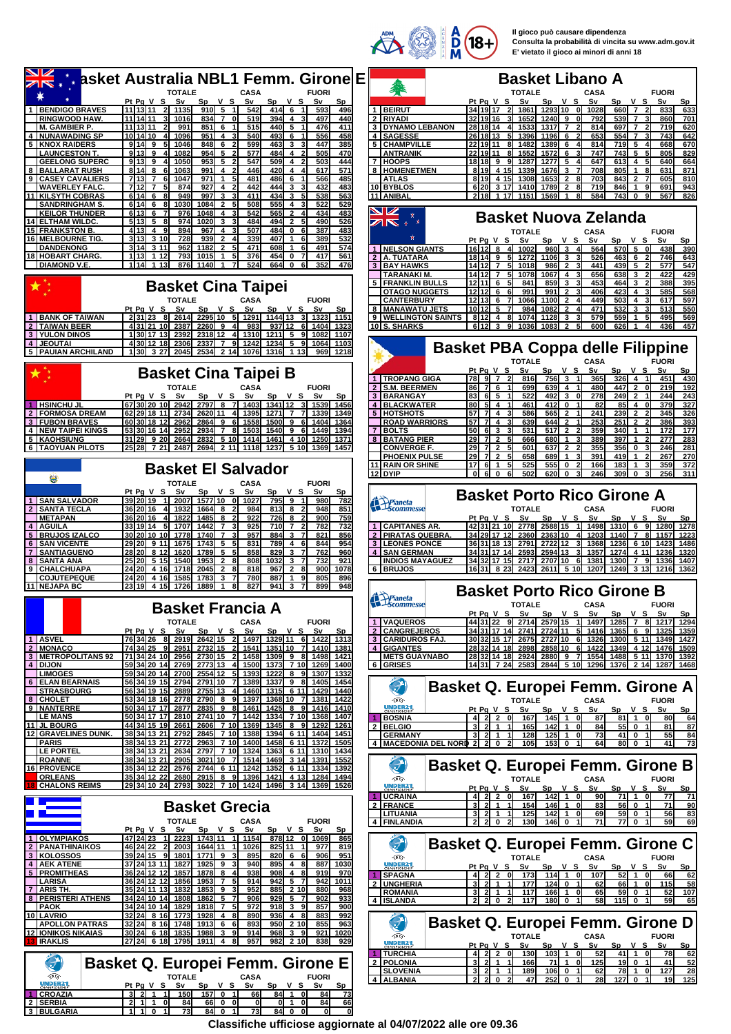$\overrightarrow{2}$   $\frac{1}{N}$   $\frac{1}{N}$   $\frac{1}{N}$   $\frac{1}{N}$ 

**Il gioco può causare dipendenza Consulta la probabilità di vincita su www.adm.gov.it E' vietato il gioco ai minori di anni 18**

| <b>Dasket Australia NBL1 Femm. Girone E</b>                                                                                                                                                                                                        |                                                                                                                                                                                                                                                       |
|----------------------------------------------------------------------------------------------------------------------------------------------------------------------------------------------------------------------------------------------------|-------------------------------------------------------------------------------------------------------------------------------------------------------------------------------------------------------------------------------------------------------|
|                                                                                                                                                                                                                                                    | <b>Basket Libano A</b>                                                                                                                                                                                                                                |
|                                                                                                                                                                                                                                                    | 奪                                                                                                                                                                                                                                                     |
| <b>TOTALE</b><br><b>CASA</b><br><b>FUORI</b>                                                                                                                                                                                                       | <b>TOTALE</b><br><b>FUORI</b><br><b>CASA</b>                                                                                                                                                                                                          |
| Pt Pa V S Sv<br>Sp V S<br>Sp V S<br>S٧<br>Sν<br>Sp<br>1 BENDIGO BRAVES<br>11 13 11<br>1135<br>$910$ 5<br>542<br>$414$ 6<br>593<br>496<br>$\blacktriangleleft$                                                                                      | Pt Pa V S<br>v s<br>v s<br>S٧<br>Sp<br>S٧<br>Sp<br>S٧<br>Sp<br>1 BEIRUT<br>34 19 17<br>1861<br>1293 10<br>1028<br>660 7<br>833<br>633<br>- Ol<br>$\mathbf{2}$                                                                                         |
| $834 \overline{7}$<br><b>RINGWOOD HAW.</b><br>11 14 11<br>519<br>394<br>$\overline{4}$<br>497<br>440<br>31<br>1016<br>0<br>3                                                                                                                       | $\overline{2}$<br><b>RIYADI</b><br>32 19 16<br>$3$ 1652<br>1240 9<br>792<br>539<br>$\overline{7}$<br>860<br>701<br>οI<br>3                                                                                                                            |
| 11 13 11<br>851<br>515<br>440<br>$5\overline{5}$<br>476<br>411<br><b>M. GAMBIER P.</b><br>991<br>6<br>$\mathbf{1}$<br>$\mathbf{c}$                                                                                                                 | 28 18 14<br>814<br><b>3 DYNAMO LEBANON</b><br>4 1533<br>1317<br>$\overline{7}$<br>697<br>$\overline{7}$<br>$\mathbf{2}$<br>719<br>620<br>21                                                                                                           |
| <b>NUNAWADING SP</b><br>10 14 10<br>1096<br>951<br>540<br>493<br>$\mathbf{1}$<br>556<br>458<br>4<br>4<br>6<br>$\boldsymbol{A}$                                                                                                                     | 4 SAGESSE<br>26 18 13<br>1196<br>653<br>554<br>743<br>51<br>1396<br>6<br>$\overline{ }$<br>3<br>642                                                                                                                                                   |
| 5 KNOX RAIDERS<br>$9114$ 9<br>1046<br>848<br>6<br>599<br>463<br>3<br>$\overline{\mathbf{3}}$<br>447<br>385                                                                                                                                         | 5 CHAMPVILLE<br>22 19 11<br>8 1482<br>1389<br>6<br>814<br><b>719</b><br>5<br>$\overline{4}$<br>668<br>670<br>4                                                                                                                                        |
| 9113<br>$954$ 5<br>577<br>484<br>505<br><b>LAUNCESTON T.</b><br>9<br>1082<br>4<br>470                                                                                                                                                              | <b>1572</b><br>747<br>743<br><b>ANTRANIK</b><br>22 19 11<br>1552<br>6<br>-5<br>5<br>805<br>829<br>8l                                                                                                                                                  |
| <b>GEELONG SUPERC</b><br>9 13 9<br>953<br>5<br>547<br>$\overline{4}$<br>503<br>444<br>1050<br>509I                                                                                                                                                 | 18 18 9<br>1277<br>5<br>647<br>$\overline{4}$<br>7 HOOPS<br>1287<br>613<br>5<br>640<br>664<br>۹l                                                                                                                                                      |
| 8   BALLARAT RUSH<br>8143<br>991 4 2<br>446<br>420I<br>$\overline{\mathbf{4}}$<br>617<br>571<br>1063<br>$\overline{4}$<br>-6                                                                                                                       | 3 <sub>7</sub><br>8 19 4 15 1339<br>708<br>805<br>$\mathbf{1}$<br>631<br>871<br>8 HOMENETMEN<br>1676<br>-8                                                                                                                                            |
| 481<br>9<br>713<br>971 l<br>$\mathbf 1$<br>486<br>566<br>485<br>  CASEY CAVALIERS<br>$\overline{7}$<br>1047<br>6<br>1<br>61<br>5<br><b>WAVERLEY FALC.</b><br>712<br>$\overline{7}$<br>874<br>927<br>4<br>442<br>444<br>3<br>432<br>483<br>51<br>31 | 8 19 4 15<br><b>1653</b><br>$\overline{2}$<br>703<br>843<br>$\overline{2}$<br><b>ATLAS</b><br>1308<br>-81<br>605<br>810<br>10 BYBLOS<br>6 20 3 17 1410<br>$\overline{2}$<br>81<br>719<br>846<br>691<br>1789<br>$\mathbf{1}$<br>9                      |
| 6146<br>949<br>997<br>$\mathbf{3}$<br>411<br>434<br>3<br>5 <sub>l</sub><br>538<br>563<br><b>11 KILSYTH COBRAS</b><br>81                                                                                                                            | 943<br>11 ANIBAL<br>2 18 1 17 1151<br>1569<br>584<br><b>743</b><br>$\mathbf 0$<br>9<br>567<br>826<br>1<br>81                                                                                                                                          |
| 508<br>614<br>1030<br>1084<br>555I<br>522<br>529<br><b>SANDRINGHAM S</b><br>6<br>$\overline{2}$<br>4<br>8                                                                                                                                          |                                                                                                                                                                                                                                                       |
| 6 13<br>1048<br>542<br>$\overline{\mathbf{2}}$<br>434<br>483<br><b>KEILOR THUNDER</b><br>6<br>976<br>4<br>565<br>4                                                                                                                                 |                                                                                                                                                                                                                                                       |
| <b>14 ELTHAM WILDC.</b><br>5 13 5<br>974<br>1020<br>3 <sup>1</sup><br>484<br>494<br>$\overline{2}$<br>5<br>490<br>526<br>-8                                                                                                                        | <b>Basket Nuova Zelanda</b><br>↗ष<br>÷                                                                                                                                                                                                                |
| <b>15 FRANKSTON B.</b><br>507<br>4 13<br>894<br>967<br>484<br>387<br>483<br>$\overline{4}$<br>9<br>$\overline{4}$<br>$\mathbf 0$<br>-61                                                                                                            | <b>TOTALE</b><br>CASA<br><b>FUORI</b>                                                                                                                                                                                                                 |
| 16 MELBOURNE TIG<br>3113<br>3 10<br>728<br>939<br>$\overline{2}$<br>339<br>407<br>389<br>532<br>$\mathbf{1}$<br>6<br>$\Delta$                                                                                                                      | Pt Pg V S<br>Sv<br>v s<br>S٧<br>Sp V S<br>Sν<br>Sp<br>Sp                                                                                                                                                                                              |
| 3 14 <br>3 1 1<br>1182<br>$\overline{2}$<br>471<br>608l<br>491<br>574<br><b>DANDENONG</b><br>962<br>51<br>$\mathbf{1}$<br>-61                                                                                                                      | $570$ 5<br>1 NELSON GIANTS<br>$16112$ 8<br>960 3<br>564<br>438<br>4 1002<br>0<br>390<br>4                                                                                                                                                             |
| 793<br>376<br>561<br><b>18 HOBART CHARG.</b><br>1113<br>1 12<br>1015<br>454 l<br>0<br>417<br>1<br>DIAMOND V.E.<br>1 1 4<br>1 13<br>876<br>1140<br>524<br>664 0<br>6<br>352<br>476<br>1                                                             | 2 A. TUATARA<br>$18$ 14 9<br>$1106$ 3<br>526<br>463<br>6<br>1272<br>$\mathbf{2}$<br>746<br>643                                                                                                                                                        |
|                                                                                                                                                                                                                                                    | <b>3 BAY HAWKS</b><br>14 12 7<br>986<br>$\overline{2}$<br>441<br>439<br>5<br>$\overline{2}$<br>577<br>547<br>1018<br>51<br>1412 7<br>1067I<br>656<br>638<br>422<br>429<br><b>TARANAKI M</b><br>51<br>1078<br>$\overline{4}$<br>3<br>$\mathbf{2}$      |
|                                                                                                                                                                                                                                                    | <b>FRANKLIN BULLS</b><br>12 11 6<br>859<br>3<br>453<br>464<br>3<br>388<br>-5 I<br>841<br>$\mathbf{2}$<br>395                                                                                                                                          |
| <b>Basket Cina Taipei</b>                                                                                                                                                                                                                          | $12$ 12 6<br>991<br>$\overline{2}$<br>406<br>423<br>585<br>568<br><b>OTAGO NUGGETS</b><br>991<br>4<br>3<br>- 61                                                                                                                                       |
| <b>TOTALE</b><br>CASA<br><b>FUORI</b>                                                                                                                                                                                                              | 449<br><b>CANTERBURY</b><br>12113<br>6<br>1066<br><b>1100I</b><br>$\mathbf{2}$<br>503<br>4<br>617<br>597<br>7                                                                                                                                         |
| Pt Pg V S<br>Sv<br>v s<br>Sp<br>v s<br>S٧<br>Sp<br>Sν<br>Sp                                                                                                                                                                                        | 8   MANAWATU JETS<br>10 12<br>1082<br>$\overline{2}$<br>471<br>532<br>3<br>513<br>5<br>984<br>550                                                                                                                                                     |
| 1144 13 3 1323<br>1 BANK OF TAIWAN<br>2 31 23<br>8 2614<br>2295 10 5 1291<br>1151                                                                                                                                                                  | 9   WELLINGTON SAINTS<br>$812$ 4<br>1074<br>3<br>579<br>559<br>495<br>569<br>81<br>1128<br>$\mathbf{1}$<br>5<br>3                                                                                                                                     |
| <b>TAIWAN BEER</b><br>43121 10 2387<br>$2260$ 9<br>983<br>937112<br>$\overline{2}$<br>6 1404<br>1323<br>41                                                                                                                                         | 10 S. SHARKS<br>612<br><b>1083</b><br>$\mathbf{3}$<br>1036<br>600<br>626<br>436<br>91<br>$\overline{2}$<br>4<br>457                                                                                                                                   |
| <b>YULON DINOS</b><br>130 17 13 2392<br>2318 12<br>4 1310<br>$1211$ 5<br>9<br>3 <sup>1</sup><br>1082<br>1107                                                                                                                                       |                                                                                                                                                                                                                                                       |
| 4 JEOUTAI<br>430112 18 2306<br>5<br>2337 7<br>9 1242<br>1234<br>-91<br>1064<br>1103<br><b>5 PAUIAN ARCHILAND</b><br>130 327 2045<br>2534 2 14 1076<br>1218<br>1316 <b>1</b><br>1 13<br>969                                                         | <b>Basket PBA Coppa delle Filippine</b>                                                                                                                                                                                                               |
|                                                                                                                                                                                                                                                    | <b>TOTALE</b><br><b>CASA</b><br><b>FUORI</b>                                                                                                                                                                                                          |
|                                                                                                                                                                                                                                                    | Pt Pa V S<br>Sv<br>Sp<br>v s<br>S٧<br>Sp V S<br>S٧<br>Sp                                                                                                                                                                                              |
| <b>Basket Cina Taipei B</b>                                                                                                                                                                                                                        | 1   TROPANG GIGA<br>78.<br>917<br>816<br>756 3<br>$326 \quad 4$<br>$\vert$ 1<br>451<br>430<br>$\overline{2}$<br>365                                                                                                                                   |
| <b>TOTALE</b><br><b>FUORI</b><br><b>CASA</b>                                                                                                                                                                                                       | $\overline{2}$<br><b>S.M. BEERMEN</b><br>86<br>7 6<br>639 4<br>447 2<br>219<br>11<br>699<br>480<br>0<br>192                                                                                                                                           |
| Pt Pg V S<br>Sv<br><b>Sp</b><br>v s<br>Sv<br>v s<br>Sv<br>Sp<br>Sp                                                                                                                                                                                 | $492$ $3$<br>249<br><b>3 BARANGAY</b><br>83<br>-61<br>- 5<br>522<br>0l<br>278<br>$\overline{2}$<br>244<br>243                                                                                                                                         |
| <b>HSINCHU JL</b><br>67 30 20 10<br>2942<br>2797 8<br>1403I<br>1341 12<br>-71<br>-31<br>1539<br>1456                                                                                                                                               | <b>BLACKWATER</b><br>412I<br>0<br>$\overline{4}$<br>80<br>$5I$ 4<br>461<br>82<br>85<br>4<br>$\mathbf 0$<br>379<br>327                                                                                                                                 |
| <b>FORMOSA DREAM</b><br>62 29 18 11 2734<br>2620 11 4 1395<br>1271 $\overline{7}$<br>71<br>1339<br>1349<br>$\mathbf{2}$                                                                                                                            | $\overline{2}$<br>5 HOTSHOTS<br>57 7 4<br>565I<br>241<br>239<br>$\overline{2}$<br>345<br>586<br>$\overline{2}$<br>326                                                                                                                                 |
| 60 30 18 12 2962<br>2864 9<br>6 1558<br><b>3 FUBON BRAVES</b><br><b>1500l</b><br>9<br>6I<br>1404<br>1364<br>53 30 16 14 2952<br>8<br>6<br>1449<br>$\overline{7}$                                                                                   | 57<br>$644$ 2<br>253<br><b>2511</b><br><b>ROAD WARRIORS</b><br>71 4<br>639<br>$\overline{2}$<br>$\overline{2}$<br>386<br>393<br><b>BOLTS</b><br>50<br>3<br>517 <b>1</b><br>$\overline{2}$<br>359<br>340<br>172<br>$\overline{7}$<br>$\mathbf{1}$<br>1 |
| <b>4 NEW TAIPEI KINGS</b><br>2934<br>1503<br>1540<br>9<br>1394<br>5 KAOHSIUNG<br>31 29 9 20<br>2664<br>2832<br>5 10 1414<br>1461<br>4 10<br>1250<br>1371                                                                                           | 6<br>531<br>177<br>8 BATANG PIER<br>29<br>$\overline{2}$<br>680I<br>$\mathbf{1}$<br>389<br>397<br>277<br>283<br>7<br>666<br>٩<br>$\mathbf{1}$<br>$\mathbf{2}$<br>5                                                                                    |
| 6 TAOYUAN PILOTS<br> 25  28   7 21 2487<br>2694 2 11 1118<br>1237 5 10<br>1369<br>1457                                                                                                                                                             | 637I<br>355<br>356<br><b>CONVERGE F.</b><br>29 I<br>$\overline{\mathbf{2}}$<br>601<br>$\mathbf{2}$<br>0<br>246<br>281<br>-71<br>51                                                                                                                    |
|                                                                                                                                                                                                                                                    | 391<br>267<br><b>PHOENIX PULSE</b><br>29<br>7<br>$\overline{\mathbf{2}}$<br>658<br>689<br>$\mathbf{1}$<br>419<br>$\mathbf 1$<br>270                                                                                                                   |
|                                                                                                                                                                                                                                                    | 11 RAIN OR SHINE<br>525<br>555<br>$\mathbf 0$<br>359<br>372<br>17 6 1<br>166<br>183<br>$\mathbf{1}$<br>3<br>5                                                                                                                                         |
| <b>Basket El Salvador</b><br>美                                                                                                                                                                                                                     | 12 DYIP<br>$\overline{0}$<br>502<br>246<br>6 0<br>620I<br>$\mathbf 0$<br>309<br>$\bf{0}$<br>256<br>311<br>61                                                                                                                                          |
| <b>FUORI</b><br><b>TOTALE</b><br><b>CASA</b>                                                                                                                                                                                                       |                                                                                                                                                                                                                                                       |
| Pt Pa V S<br>Sν<br>Sp<br>v s<br>S٧<br>Sp V S<br>Sv<br>Sp                                                                                                                                                                                           | <b>Basket Porto Rico Girone A</b>                                                                                                                                                                                                                     |
| 1 SAN SALVADOR<br>39 20 19<br>2007<br>1577 10 0<br>1027<br>795 9<br>980<br>782<br>$\overline{1}$                                                                                                                                                   | Pianeta<br>Scommesse                                                                                                                                                                                                                                  |
| <b>SANTA TECLA</b><br>36 20 16<br>$1664$ 8<br>813I<br>$\overline{2}$<br>948<br>851<br>1932<br>984<br>8<br>$\mathbf{2}$<br>4<br>726I<br>900<br>2<br>4                                                                                               | <b>TOTALE</b><br><b>CASA</b><br><b>FUORI</b>                                                                                                                                                                                                          |
| 922<br><b>IMETAPAN</b><br><b>36 20 16</b><br>1822<br>1485<br>l 8<br>8<br>759<br>33 19 14<br>1442<br>925<br>782<br>732<br><b>AGUILA</b><br>51<br>1707<br>$\overline{7}$<br>710I<br>$\overline{7}$<br>2<br>4                                         | Pt Pg V S<br>v s<br>S٧<br>Sp<br>v s<br>S٧<br>S٧<br>Sp<br>Sp<br>1 CAPITANES AR<br>42 31 21 10 2778<br>2588 15<br>-11<br>1498<br>$1310$ 6<br>9<br>1278<br>1280                                                                                          |
| 30 20 10 10 1778<br>957<br>884<br>821<br>5 BRUJOS IZALCO<br>1740 7<br>3<br>$\overline{7}$<br>856                                                                                                                                                   | 2 PIRATAS QUEBRA.<br>34 29 17 12 2360<br>236310<br>1140 7<br>4 1203<br>81<br>1157<br>1223                                                                                                                                                             |
| 831<br><b>6 SAN VICENTE</b><br>29 20 9 11<br>1675<br>1743 5<br>789I<br>4<br>6<br>844<br>954<br>5                                                                                                                                                   | <b>3 LEONES PONCE</b><br>36 31 18 13 2791<br>2722112<br>1368<br>1236<br>6 10<br>1423<br>1486<br>31                                                                                                                                                    |
| 5<br>858<br>3<br>762<br>960<br><b>SANTIAGUENO</b><br>28 20 8 12<br>1620<br>1789<br>829<br>7<br><b>7</b> I<br>51                                                                                                                                    | 4 SAN GERMAN<br>34 31 17 14<br>2593<br>2594 13<br>31<br>1357<br>1274<br>4 11<br>1236<br>1320                                                                                                                                                          |
| 25 20 5 15 1540<br>2 8<br>808<br>10321<br>$\mathbf{3}$<br>732<br>921<br>8 SANTA ANA<br>1953<br>7                                                                                                                                                   | <b>INDIOS MAYAGUEZ</b><br>34 32 17 15<br>2717<br>2707110<br>1300<br>79<br>6 1381<br>1336<br>1407                                                                                                                                                      |
| 2045<br>818<br>967<br>900<br>9 CHALCHUAPA<br>24 20 4 16<br>1718<br>$\overline{2}$<br>8<br>$\overline{2}$<br>8<br>1078                                                                                                                              | 6 BRUJOS<br>16 31 8 23 2423<br>2611 5 10 1207<br>1249<br>3 13 1216<br>1362                                                                                                                                                                            |
| 24 20 4 16<br>805<br>COJUTEPEQUE<br>1585<br>1783<br>3<br>780<br>887<br>$\mathbf{1}$<br>9<br>896<br>11 NEJAPA BC<br>23 19 4 15 1726<br>827<br>941 I<br>$\mathbf{3}$<br>899<br>1889<br>$\mathbf{1}$<br>81<br>948                                     |                                                                                                                                                                                                                                                       |
|                                                                                                                                                                                                                                                    | <b>Basket Porto Rico Girone B</b>                                                                                                                                                                                                                     |
|                                                                                                                                                                                                                                                    |                                                                                                                                                                                                                                                       |
|                                                                                                                                                                                                                                                    |                                                                                                                                                                                                                                                       |
| <b>Basket Francia A</b>                                                                                                                                                                                                                            | Pianeta<br>Scommesse<br><b>TOTALE</b><br><b>CASA</b><br><b>FUORI</b><br>Pt Pg V S Sv<br>Sp<br>v s<br>S٧<br>Sp<br>v<br>s<br>S٧                                                                                                                         |
| <b>TOTALE</b><br><b>CASA</b><br><b>FUORI</b>                                                                                                                                                                                                       | <u>Sp</u><br>1 VAQUEROS<br>44 31 22 9 2714<br>2579 15<br>1 1497                                                                                                                                                                                       |
| Sp V S Sv<br>Pt Pq V S Sv<br>Sp V S Sv<br>Sp                                                                                                                                                                                                       | 2 CANGREJEROS<br>34 31 17 14 2741<br>272411<br>5 1416<br>691325<br>1365                                                                                                                                                                               |
| 1 ASVEL<br>2642 15 2 1497 1329 11 6 1422 1313<br>76 34 26<br>8 2919                                                                                                                                                                                | 3 CARIDUROS FAJ<br>2727 10 6 1326<br>30 32 15 17 2675<br>1300                                                                                                                                                                                         |
| 2 MONACO<br>74 34 25<br>2732 15<br>1541<br>1351   10<br>71<br>1410 1381<br>2951<br>21<br>9                                                                                                                                                         | 4 GIGANTES<br>28 32 14 18 2898<br>2858 10 6 1422<br>1349                                                                                                                                                                                              |
| 3 METROPOLITANS 92<br>71 34 24 10 2956<br>2730 15 2 1458 1309 9 8 1498 1421                                                                                                                                                                        | <b>METS GUAYNABO</b><br>28 32 14 18 2924<br>14 31 7 24 2583 2844 5 10 1296                                                                                                                                                                            |
| 2773 13 4 1500 1373 7 10 1269 1400<br>4   DIJON<br>59 34 20 14 2769<br>59 34 20 14 2700<br>2554 12 5 1393<br>1222<br>8<br>9 <sub>l</sub><br>1307<br><b>LIMOGES</b><br>1332                                                                         | 6 GRISES                                                                                                                                                                                                                                              |
| 56 34 19 15 2794<br>2791 10 7 1389<br>$1337$ 9 8<br>1405<br>6 ELAN BEARNAIS<br>1454                                                                                                                                                                |                                                                                                                                                                                                                                                       |
| <b>STRASBOURG</b><br>56 34 19 15 2889<br>2755 13<br>4 1460<br>1315<br>6 11<br>1429<br>1440                                                                                                                                                         | $\mathcal{P}$<br><b>Basket Q. Europei Femm. Girone A</b>                                                                                                                                                                                              |
| 8 CHOLET<br>53 34 18 16<br>2790 8 9 1397<br>1368 10<br>$\overline{7}$<br>2778<br>1381<br>1422                                                                                                                                                      | Ð.<br><b>TOTALE</b><br><b>CASA</b><br><b>FUORI</b>                                                                                                                                                                                                    |
| 9 NANTERRE<br>2835 9 8 1461 1425 8 9 1416 1410<br>50 34 17 17 2877                                                                                                                                                                                 | UNDER21<br>Pt Pa V S<br>Sv<br>Sp V S<br>Sv<br>Sp V S<br><u>Sv</u><br><u>Sp</u>                                                                                                                                                                        |
| <b>LE MANS</b><br>50 34 17 17 2810<br>2741110 71 14421<br>1334<br>7 10 1368<br>1407                                                                                                                                                                | 167<br>$145$ 1 0<br>$81$ 1<br><b>BOSNIA</b><br>4 2 2 0<br>87<br>$\mathbf 0$<br>80                                                                                                                                                                     |
| 44 34 15 19 2661<br>2606 7 10 1369<br>11 JL BOURG<br>1345<br>8 9<br>1292<br>1261<br>12 GRAVELINES DUNK.<br>38 34 13 21 2792<br>2845 7 10 1388<br>1394<br>6 11 1404<br>1451                                                                         | $3 \ 2 \ 1 \ 1$<br>2 BELGIO<br>$142$ 1 0<br>55 0 1<br>81<br>165<br>84                                                                                                                                                                                 |
| <b>PARIS</b><br>38 34 13 21 2772<br>2963 7 10 1400<br>1458<br>611<br>1372<br>1505                                                                                                                                                                  | <b>GERMANY</b><br>$3$ 2 1 1<br>128<br>$125$ 1 0<br>73<br>41  0<br>55<br>$153$ 0<br>11<br>64<br>$\overline{1}$<br>41<br>21<br>105                                                                                                                      |
| 1324<br><b>LE PORTEL</b><br>38 34 13 21 2634<br>2797 7 10<br>6 11<br>1434<br>1363<br>1310                                                                                                                                                          | 4   MACEDONIA DEL NORD 2 2 0<br>800                                                                                                                                                                                                                   |
| 38 34 13 21 2905<br>3021 10 7 1514 1469 3 14 1391 1552<br><b>ROANNE</b>                                                                                                                                                                            |                                                                                                                                                                                                                                                       |
| 2744 6 11 1242 1352 6 11 1334 1392<br>16 PROVENCE<br>35 34 12 22 2576                                                                                                                                                                              | $\mathcal{P}$<br><b>Basket Q. Europei Femm. Girone B</b>                                                                                                                                                                                              |
| 35 34 12 22 2680<br>2915 8 9 1396<br><b>ORLEANS</b><br>1421<br>4 13 1284<br>1494                                                                                                                                                                   | 哑<br><b>TOTALE</b><br>CASA<br><b>FUORI</b>                                                                                                                                                                                                            |
| <b>CHALONS REIMS</b><br>29 34 10 24 2793 3022 7 10 1424 1496 3 14 1369 1526                                                                                                                                                                        | UNDER21<br>Pt Pg V S Sv<br>$Sp$ $V$ $S$<br>Sv<br>Sp<br>v s<br>Sv<br>Sp                                                                                                                                                                                |
|                                                                                                                                                                                                                                                    | <b>UCRAINA</b><br>4 2 2 0 167<br>$142$ 1 0<br>$71$ 1 0<br>90<br>77                                                                                                                                                                                    |
| <b>Basket Grecia</b>                                                                                                                                                                                                                               | $146$ 1 0<br>56 0 1<br>2 FRANCE<br>3 2 1 1<br>154<br>83<br>71                                                                                                                                                                                         |
| <b>FUORI</b><br><b>TOTALE</b><br><b>CASA</b>                                                                                                                                                                                                       | $3$ 2 1 1<br>$142$ 1 0<br><b>LITUANIA</b><br>125<br>69<br>56<br>21202<br>71<br>146 0<br>59<br>130                                                                                                                                                     |
| Sp V S Sv<br>$Sp$ $V$ $S$<br>Pt Pg V S Sv<br>Sv<br><b>Sp</b>                                                                                                                                                                                       | $\frac{59}{77}$ 0 1<br>4 FINLANDIA                                                                                                                                                                                                                    |
| 878 12 0 1069<br>1 OLYMPIAKOS<br>47 24 23<br>1 2223<br>1743 11 1 1154<br>865                                                                                                                                                                       |                                                                                                                                                                                                                                                       |
| <b>PANATHINAIKOS</b><br>46 24 22<br>1644 11 1<br>825 11<br>819<br>$\overline{2}$<br>2 2003<br>1026<br>977                                                                                                                                          | Э<br><b>Basket Q. Europei Femm. Girone C</b>                                                                                                                                                                                                          |
| 3 KOLOSSOS<br>39 24 15 9 1801<br>$1771$ 9 3<br>$820 \ 6 \ 6$<br>951<br>895<br>906                                                                                                                                                                  | D.<br><b>TOTALE</b><br><b>CASA</b><br><b>FUORI</b>                                                                                                                                                                                                    |
| 4 AEK ATENE<br>37 24 13 11 1827<br>1925   9<br>940<br>$895$ 4 8<br>887 1030                                                                                                                                                                        | UNDER21<br>Pt Pg V S Sv<br>Sp V S Sv<br>Sp V S Sv<br>-Sp                                                                                                                                                                                              |
| <b>5 PROMITHEAS</b><br>36 24 12 12 1857<br>1878 8<br>938<br>908<br>919<br>970<br>4<br>$\overline{a}$<br>8                                                                                                                                          | <b>SPAGNA</b><br>4 2 2 0 173<br>114 1 0 107<br>$52$ 1<br>0<br>66                                                                                                                                                                                      |
| 36 24 12 12 1856<br>$1953$ 7 5<br>914<br>942 5 7<br>942 1011<br><b>LARISA</b><br><u>7 ARIS TH</u><br>35 24 11 13 1832<br>1853 9<br>952<br>885 2 10<br>880<br>968                                                                                   | <b>UNGHERIA</b><br>$124$ 0<br>$\overline{2}$<br>66<br>115<br>177<br>62                                                                                                                                                                                |
| 34 24 10 14<br><b>8 PERISTERI ATHENS</b><br>1862 5 7<br>$929$ 5<br>902<br>933<br>1808<br>906                                                                                                                                                       | $3$ 2 1 1<br><b>ROMANIA</b><br>117<br>166 1 0<br>65<br>59 0 1<br>52<br>$2 \times 2 = 0$<br>$180$ 0 1<br>58<br>$115$ 0<br>59<br>4 ISLANDA<br>21<br>117<br>$\overline{1}$                                                                               |
| <b>PAOK</b><br>34 24 10 14 1829<br>$1818$ 7 5<br>972<br>$918$ 3 9<br>857<br>900                                                                                                                                                                    |                                                                                                                                                                                                                                                       |
| 936<br>10 LAVRIO<br>32 24 8 16 1773<br>$1928$ 4 8<br>890<br>4 8<br>883<br>992                                                                                                                                                                      |                                                                                                                                                                                                                                                       |
| <b>APOLLON PATRAS</b><br>32 24 8 16<br>$1913$ 6<br>893<br>950 2 10<br>855<br>963<br>1748<br>61                                                                                                                                                     | 21<br><b>Basket Q. Europei Femm. Girone D</b>                                                                                                                                                                                                         |
| <b>12 IONIKOS NIKAIAS</b><br>30 24 6 18 1835<br>921<br>1988 3<br>91<br>914<br>968 3 9<br>1020                                                                                                                                                      | Ð.<br><b>TOTALE</b><br><b>CASA</b><br><b>FUORI</b>                                                                                                                                                                                                    |
| 27 24 6 18 1795<br>957<br><b>IRAKLIS</b><br>1911   48<br>982 2 10<br>838<br>929                                                                                                                                                                    | UNDER21<br>Pt Pg V S<br>Sv<br>$Sp$ $V$ $S$<br>Sv<br>$Sp$ $V$ $S$<br>Sv<br>Sp                                                                                                                                                                          |
|                                                                                                                                                                                                                                                    | $103$ 1 0<br>$-52$<br>$41$ 1<br>1 TURCHIA<br>$2 \quad 2 \quad 0$<br>130<br>$\mathbf{0}$<br>78                                                                                                                                                         |
| O)<br><b>Basket Q. Europei Femm. Girone E</b>                                                                                                                                                                                                      | 2 POLONIA<br>$3$ 2 1 1<br>71 1 0 125<br>19 0 1<br>41<br>166                                                                                                                                                                                           |
| D.<br><b>TOTALE</b><br><b>CASA</b><br><b>FUORI</b>                                                                                                                                                                                                 | <b>SLOVENIA</b><br>3 2 1 1<br>189<br>$106$ 0 1<br>62<br>7811<br>0 I<br>127<br>$252$ 0 1<br>4 ALBANIA<br>$2\quad 2\quad 0$<br>127 0 1<br>19<br>47<br>28<br>-21                                                                                         |
| UNDER <sub>21</sub><br>Sp V S Sv<br>$Sp$ $V$ $S$<br>Pt Pg V S Sv<br>Sv<br><b>Sp</b>                                                                                                                                                                |                                                                                                                                                                                                                                                       |
| 1 CROAZIA<br>$3$ 2 1<br>150<br>$157$ 0 1<br>84 1<br>73<br>$\mathbf{1}$<br>66<br>$\mathbf{0}$<br>84<br>21110<br>2 SERBIA<br>66 0 0<br>84<br>66<br>84<br>0 1 0<br>0I                                                                                 | 1285 7 8 1217 1294<br>1359<br>5 11 1349 1427<br>4 12 1476 1509<br>2880 9 7 1554 1488 5 11 1370 1392<br>1376 2 14 1287 1468<br>64<br>87<br>84<br>73<br>71<br>90<br>83<br>69<br>62<br>58<br>107<br>65<br>62<br>52<br><u>28</u><br>$-125$                |

**Classifiche ufficiose aggiornate al 04/07/2022 alle ore 09.36**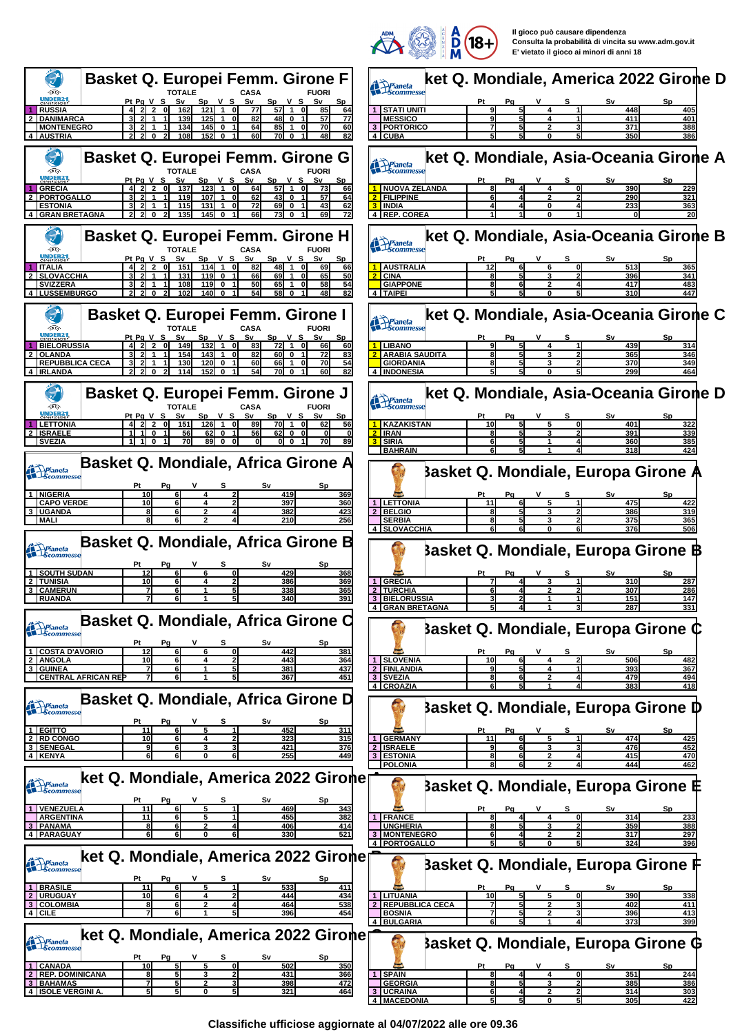

**Il gioco può causare dipendenza Consulta la probabilità di vincita su www.adm.gov.it E' vietato il gioco ai minori di anni 18**

|                                                                                                                                                                                           | <b>Contract Contract Contract Contract Contract Contract Contract Contract Contract Contract Contract Contract Contract Contract Contract Contract Contract Contract Contract Contract Contract Contract Contract Contract Contr</b><br>14 JY |
|-------------------------------------------------------------------------------------------------------------------------------------------------------------------------------------------|-----------------------------------------------------------------------------------------------------------------------------------------------------------------------------------------------------------------------------------------------|
| <b>Basket Q. Europei Femm. Girone F</b>                                                                                                                                                   | ket Q. Mondiale, America 2022 Girone D                                                                                                                                                                                                        |
| ĢG<br><b>FUORI</b><br><b>NDER2</b>                                                                                                                                                        | Pianeta<br>Scommesse                                                                                                                                                                                                                          |
| PtPgVS<br>Sv<br>S٧<br>Sp V S<br>Sp V S<br>Sv<br>$57$ 1<br>$2^{\degree}$<br>85<br><b>RUSSIA</b><br>162<br>121<br>$\overline{1}$<br>οI<br>77<br>64                                          | Ρt<br>S٧<br>Sp<br>Рg<br>448<br>  STATI UNITI<br>405                                                                                                                                                                                           |
| 48I<br>77<br><b>DANIMARCA</b><br>82<br>139<br>125<br>$\Omega$<br>57<br><b>MONTENEGRO</b><br>134<br>145<br>64<br>85<br>70<br>60<br>0<br>-1                                                 | <b>MESSICO</b><br>9l<br>411<br>401<br>4<br>3 PORTORICO<br>388<br>371<br>2                                                                                                                                                                     |
| 152<br>82<br><b>AUSTRIA</b><br>108<br>60<br>70 I<br>$\mathbf 0$<br>48<br>0                                                                                                                | 350<br>4 CUBA<br>386                                                                                                                                                                                                                          |
| <b>Basket Q. Europei Femm. Girone G</b>                                                                                                                                                   | ket Q. Mondiale, Asia-Oceania Girone A                                                                                                                                                                                                        |
| ÐG<br><b>CASA</b><br><b>TOTALE</b><br><b>FUORI</b><br>Pt Pa V S<br>$V_S$<br>Sv<br>Sp<br>V S<br>Sv<br>S٧                                                                                   | Pianeta<br>Scommess<br>s<br>Pa                                                                                                                                                                                                                |
| <u>Sp</u><br>ol<br>64<br>57 1<br><b>GRECIA</b><br>137<br>123<br>$\overline{1}$<br>73<br>66                                                                                                | <u>Sv</u><br><b>NUOVA ZELANDA</b><br>390<br>4<br>0l<br>229                                                                                                                                                                                    |
| <b>PORTOGALLO</b><br>107<br>43<br>57<br>119<br>62<br>$\mathbf 0$<br>64<br><b>ESTONIA</b><br>115<br>131<br>72<br>69<br>43<br>62<br>$\mathbf{0}$<br>$\mathbf 0$                             | <b>FILIPPINE</b><br>290<br>321<br>61<br><b>INDIA</b><br>233<br>363                                                                                                                                                                            |
| 73 O<br>69<br><b>GRAN BRETAGNA</b><br>0<br>135<br>145<br>66                                                                                                                               | <b>4 IREP. COREA</b>                                                                                                                                                                                                                          |
| <b>Basket Q. Europei Femm. Girone H</b>                                                                                                                                                   | ket Q. Mondiale, Asia-Oceania Girone B                                                                                                                                                                                                        |
| Dig<br>TOTALE<br>CASA<br><b>FUORI</b><br><b>INDER2</b>                                                                                                                                    | Prianeta<br>Scommesse                                                                                                                                                                                                                         |
| Pt Pg V S<br>Sp V S<br>$Sp$ $V$ $S$<br>S٧<br>S٧<br>114<br>48<br><b>ITALIA</b><br>151<br>$\overline{1}$<br>82<br>66                                                                        | S٧<br>s<br>12<br>513<br>365<br><b>AUSTRALIA</b><br>6                                                                                                                                                                                          |
| 50<br>69<br><b>SLOVACCHIA</b><br>119<br>66<br>65<br>131<br>$\mathbf 0$<br>54<br><b>SVIZZERA</b><br>108<br>119<br>50<br>65<br>58                                                           | <b>CINA</b><br>396<br>341<br>81<br><b>GIAPPONE</b><br>417<br>483<br>81                                                                                                                                                                        |
| 82<br><b>LUSSEMBURGO</b><br>102<br>140<br>54<br><b>58</b><br>48                                                                                                                           | 4   TAIPEI<br>51<br>310<br>447                                                                                                                                                                                                                |
| <b>Basket Q. Europei Femm. Girone I</b>                                                                                                                                                   | ket Q. Mondiale, Asia-Oceania Girone C                                                                                                                                                                                                        |
| ĢG<br>CASA<br><b>FUORI</b>                                                                                                                                                                | Pianeta<br>Scommesse                                                                                                                                                                                                                          |
| NDER21<br>Pt Pg V S<br>Sp<br>S٧<br>Sp<br>S٧<br>v s<br>v s<br>72<br>132<br>$\overline{2}$<br>$\mathbf{1}$<br>$\mathbf{1}$                                                                  | Pg<br>439<br>4                                                                                                                                                                                                                                |
| <b>BIELORUSSIA</b><br>149<br>οI<br>83<br>66<br>60<br>01<br>60 O<br><b>OLANDA</b><br>154<br>143<br>82<br>72<br>83                                                                          | <b>LIBANO</b><br>314<br><b>ARABIA SAUDITA</b><br>365<br>346<br>3                                                                                                                                                                              |
| <b>REPUBBLICA CECA</b><br>130<br>120<br>60<br>66<br>70<br><u>54</u><br>-1<br>82<br>114<br>152<br>54<br>70I<br><b>IRLANDA</b><br>0<br>$\mathbf{0}$<br>$\mathbf 0$                          | 370<br>349<br><b>GIORDANIA</b><br>299<br><b>INDONESIA</b><br>464                                                                                                                                                                              |
|                                                                                                                                                                                           |                                                                                                                                                                                                                                               |
| <b>Basket Q. Europei Femm. Girone J</b>                                                                                                                                                   | ket Q. Mondiale, Asia-Oceania Girone D<br>Pianeta<br>Scommesse                                                                                                                                                                                |
| ÐG<br><b>CASA</b><br>TOTAI F<br><b>FUORI</b><br>Sv<br>Sp V S<br>S٧<br>Pt Pg V S<br>S٧<br><u>v s</u><br><b>Sp</b>                                                                          | Ρt<br>S٧<br>Sp                                                                                                                                                                                                                                |
| οI<br>89<br>70 1 0<br><b>LETTONIA</b><br>21 2<br>151<br>126<br>$\overline{1}$<br>62<br>56<br><b>ISRAELE</b><br>62<br>62<br>-1 <b>1</b><br>$\mathbf 0$<br>56<br>$\mathbf 0$<br>$\mathbf 0$ | 401<br>KAZAKISTAN<br>10<br>5<br>0l<br>322<br><b>IRAN</b><br>391<br>339                                                                                                                                                                        |
| 89<br>1110<br>70<br>$\mathbf{0}$<br>ol o<br>70<br><b>SVEZIA</b><br>$\mathbf{0}$<br>89                                                                                                     | SIRIA<br>360<br>385<br><b>BAHRAIN</b><br>318<br>424                                                                                                                                                                                           |
| Basket Q. Mondiale, Africa Girone A                                                                                                                                                       |                                                                                                                                                                                                                                               |
| Pianeta<br>Scommesse                                                                                                                                                                      | <b>Basket Q. Mondiale, Europa Girone A</b>                                                                                                                                                                                                    |
| Pt<br>Рg<br>10<br><b>NIGERIA</b><br>6I<br>419<br>2<br>369<br>4                                                                                                                            | v<br>s<br>S٧<br>Sp                                                                                                                                                                                                                            |
| <b>CAPO VERDE</b><br>397<br>10<br>6<br>360                                                                                                                                                | 1 LETTONIA<br>475<br>422<br>11<br>6                                                                                                                                                                                                           |
| <b>UGANDA</b><br>6<br>8<br>382<br>423<br>2<br>210<br>256<br><b>MALI</b>                                                                                                                   | <b>BELGIO</b><br>5<br>386<br>319<br>$\overline{2}$<br>3<br>81<br><b>SERBIA</b><br>375<br>365<br>8l<br>5<br>3                                                                                                                                  |
|                                                                                                                                                                                           | 4 SLOVACCHIA<br>376<br>506                                                                                                                                                                                                                    |
| <b>Basket Q. Mondiale, Africa Girone B</b><br>Pianeta<br>Scommesso                                                                                                                        | }asket Q. Mondiale, Europa Girone ₿                                                                                                                                                                                                           |
| S٧<br><u>Sp</u>                                                                                                                                                                           |                                                                                                                                                                                                                                               |
| 12<br>$\mathbf{0}$<br>429<br><u>SOUTH SUDAN</u><br>368<br>10<br>6<br><b>TUNISIA</b><br>386<br>369<br>4                                                                                    | Sp<br><b>GRECIA</b><br>310<br>287<br>$\vert$ 1<br>з                                                                                                                                                                                           |
| 6<br>338<br>365<br><b>CAMERUN</b><br>7<br><b>RUANDA</b><br>6<br>340<br>391                                                                                                                | 307<br>$\overline{2}$<br><b>TURCHIA</b><br>2<br>286<br><b>BIELORUSSIA</b><br>151<br>147                                                                                                                                                       |
|                                                                                                                                                                                           | 4 GRAN BRETAGNA<br>287<br>33 I J                                                                                                                                                                                                              |
| Basket Q. Mondiale, Africa Girone C<br><b>Prianeta</b><br>Scommesse                                                                                                                       | Basket Q. Mondiale, Europa Girone ¢                                                                                                                                                                                                           |
| Ρt<br>Pq                                                                                                                                                                                  |                                                                                                                                                                                                                                               |
| 12<br><b>COSTA D'AVORIO</b><br>6<br>442<br>6<br>01<br>381<br><b>ANGOLA</b><br>10<br>443<br>6<br>4<br>2<br>364                                                                             | Sν<br>Pt<br>Pg<br><u>Sp</u><br>s<br><b>SLOVENIA</b><br>10<br>4<br>506<br>482<br>6                                                                                                                                                             |
| <b>GUINEA</b><br>437<br>381                                                                                                                                                               | <b>FINLANDIA</b><br><u>393</u><br>367                                                                                                                                                                                                         |
| <b>CENTRAL AFRICAN REP</b><br>367<br>451                                                                                                                                                  | 3 SVEZIA<br>479<br>494<br>8<br>61<br>4 CROAZIA<br>61<br>383<br>418<br>51                                                                                                                                                                      |
| Basket Q. Mondiale, Africa Girone D                                                                                                                                                       |                                                                                                                                                                                                                                               |
| Prianeta<br>Scommesse                                                                                                                                                                     | <b>Basket Q. Mondiale, Europa Girone D</b>                                                                                                                                                                                                    |
| 11<br>452<br>1 EGITTO<br>6<br>5<br>311                                                                                                                                                    | v<br>Ρt<br>s<br>S٧<br>Sp<br>Pq                                                                                                                                                                                                                |
| <b>RD CONGO</b><br>323<br>315<br>10<br>6<br><b>SENEGAL</b><br>376<br>9<br>421<br>6                                                                                                        | <b>GERMANY</b><br>474<br>11<br>425<br>1 <sup>1</sup><br><b>ISRAELE</b><br>476<br>452<br>$\mathbf{2}$<br>6<br>з                                                                                                                                |
| 6<br>255<br>449<br>4 KENYA<br>61<br>O                                                                                                                                                     | $\mathbf{3}$<br><b>ESTONIA</b><br>415<br>470<br>81<br>6<br><b>POLONIA</b><br>444<br>462                                                                                                                                                       |
| ket Q. Mondiale, America 2022 Gironer                                                                                                                                                     |                                                                                                                                                                                                                                               |
| Pianeta<br>Scommesse                                                                                                                                                                      | Basket Q. Mondiale, Europa Girone E                                                                                                                                                                                                           |
| Pt<br>s<br>S٧<br>Sp.<br>Pg<br>11<br>469<br><b>VENEZUELA</b><br>6<br>343                                                                                                                   |                                                                                                                                                                                                                                               |
| <b>ARGENTINA</b><br>11<br>455<br>6<br>382<br>5<br><b>PANAMA</b><br>6<br>406<br>414<br>81<br>2                                                                                             | <b>FRANCE</b><br>$\mathbf{1}$<br>314<br>4<br>01<br><u> 233</u><br>388<br><b>UNGHERIA</b><br>81<br>359<br>3<br>2                                                                                                                               |
| 6<br>4   PARAGUAY<br>61<br>6<br>330<br>521<br>O                                                                                                                                           | <b>MONTENEGRO</b><br>317<br>297                                                                                                                                                                                                               |
| ket Q. Mondiale, America 2022 Girone                                                                                                                                                      | 324<br>4 PORTOGALLO<br>396                                                                                                                                                                                                                    |
| <b>Prianeta</b><br>Scommesse                                                                                                                                                              | Basket Q. Mondiale, Europa Girone f                                                                                                                                                                                                           |
| Pa<br>1 BRASILE<br>11<br>533<br>6<br>411<br>5                                                                                                                                             | <u>Pt</u><br>S٧<br><b>Sp</b><br>Pa                                                                                                                                                                                                            |
| <b>URUGUAY</b><br>10<br>444<br>6<br>434<br>4                                                                                                                                              | LITUANIA<br>10<br>5<br>390<br>338<br>5<br>$\mathbf{0}$                                                                                                                                                                                        |
| <b>COLOMBIA</b><br>464<br>538<br>4 CILE<br>396<br>454                                                                                                                                     | <b>REPUBBLICA CECA</b><br>402<br>411<br><b>BOSNIA</b><br>396<br>413                                                                                                                                                                           |
|                                                                                                                                                                                           | 4 BULGARIA<br>61<br>373<br>399                                                                                                                                                                                                                |
| ket Q. Mondiale, America 2022 Gironer<br>Prianeta<br>Scommesse                                                                                                                            | <b>Basket Q. Mondiale, Europa Girone G</b>                                                                                                                                                                                                    |
| Sp.                                                                                                                                                                                       |                                                                                                                                                                                                                                               |
| 10 <sub>l</sub><br><b>CANADA</b><br>51<br>502<br>350<br>5<br>01<br><b>REP. DOMINICANA</b><br>431<br>8<br>5<br>366                                                                         | ۷<br>s<br>S٧<br>Sp<br>Ρt<br>Pq<br><b>SPAIN</b><br>351<br>$\blacktriangleleft$<br><u> 244</u>                                                                                                                                                  |
| <b>BAHAMAS</b><br>7<br>5<br>398<br>472<br>5<br>5<br><b>ISOLE VERGINI A</b><br>321<br>464<br>0                                                                                             | <b>GEORGIA</b><br>385<br>386<br><b>UCRAINA</b><br>303<br>61<br>2<br>$\mathbf{2}$<br>314                                                                                                                                                       |
|                                                                                                                                                                                           | 4 MACEDONIA<br>5<br>305<br>422<br>O                                                                                                                                                                                                           |

**Classifiche ufficiose aggiornate al 04/07/2022 alle ore 09.36**